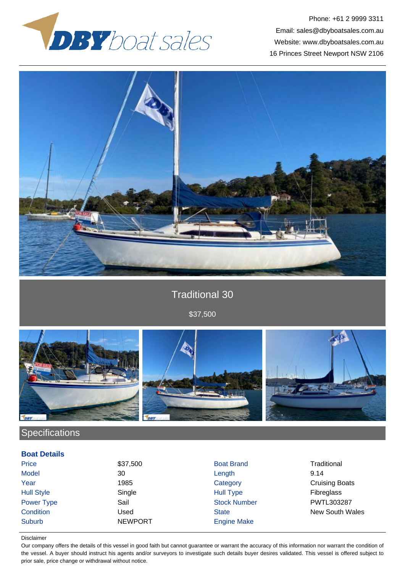

Phone: +61 2 9999 3311 Email: sales@dbyboatsales.com.au Website: www.dbyboatsales.com.au 16 Princes Street Newport NSW 2106



## Traditional 30

\$37,500



## **Specifications**

**Boat Details**

| <b>DUAL DELAIIS</b> |                |                     |                       |
|---------------------|----------------|---------------------|-----------------------|
| Price               | \$37,500       | <b>Boat Brand</b>   | Traditional           |
| <b>Model</b>        | 30             | Length              | 9.14                  |
| Year                | 1985           | Category            | <b>Cruising Boats</b> |
| <b>Hull Style</b>   | Single         | <b>Hull Type</b>    | <b>Fibreglass</b>     |
| Power Type          | Sail           | <b>Stock Number</b> | PWTL303287            |
| Condition           | Used           | <b>State</b>        | New South Wales       |
| <b>Suburb</b>       | <b>NEWPORT</b> | <b>Engine Make</b>  |                       |
|                     |                |                     |                       |

## Disclaimer

Our company offers the details of this vessel in good faith but cannot guarantee or warrant the accuracy of this information nor warrant the condition of the vessel. A buyer should instruct his agents and/or surveyors to investigate such details buyer desires validated. This vessel is offered subject to prior sale, price change or withdrawal without notice.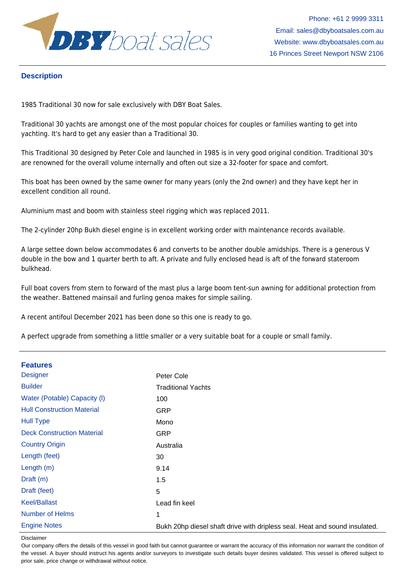

Phone: +61 2 9999 3311 Email: sales@dbyboatsales.com.au Website: www.dbyboatsales.com.au 16 Princes Street Newport NSW 2106

## **Description**

1985 Traditional 30 now for sale exclusively with DBY Boat Sales.

Traditional 30 yachts are amongst one of the most popular choices for couples or families wanting to get into yachting. It's hard to get any easier than a Traditional 30.

This Traditional 30 designed by Peter Cole and launched in 1985 is in very good original condition. Traditional 30's are renowned for the overall volume internally and often out size a 32-footer for space and comfort.

This boat has been owned by the same owner for many years (only the 2nd owner) and they have kept her in excellent condition all round.

Aluminium mast and boom with stainless steel rigging which was replaced 2011.

The 2-cylinder 20hp Bukh diesel engine is in excellent working order with maintenance records available.

A large settee down below accommodates 6 and converts to be another double amidships. There is a generous V double in the bow and 1 quarter berth to aft. A private and fully enclosed head is aft of the forward stateroom bulkhead.

Full boat covers from stern to forward of the mast plus a large boom tent-sun awning for additional protection from the weather. Battened mainsail and furling genoa makes for simple sailing.

A recent antifoul December 2021 has been done so this one is ready to go.

A perfect upgrade from something a little smaller or a very suitable boat for a couple or small family.

| <b>Features</b>                   |                                                                            |
|-----------------------------------|----------------------------------------------------------------------------|
| <b>Designer</b>                   | Peter Cole                                                                 |
| <b>Builder</b>                    | <b>Traditional Yachts</b>                                                  |
| Water (Potable) Capacity (I)      | 100                                                                        |
| <b>Hull Construction Material</b> | <b>GRP</b>                                                                 |
| <b>Hull Type</b>                  | Mono                                                                       |
| <b>Deck Construction Material</b> | <b>GRP</b>                                                                 |
| <b>Country Origin</b>             | Australia                                                                  |
| Length (feet)                     | 30                                                                         |
| Length $(m)$                      | 9.14                                                                       |
| Draft (m)                         | 1.5                                                                        |
| Draft (feet)                      | 5                                                                          |
| <b>Keel/Ballast</b>               | Lead fin keel                                                              |
| <b>Number of Helms</b>            | 1                                                                          |
| <b>Engine Notes</b>               | Bukh 20hp diesel shaft drive with dripless seal. Heat and sound insulated. |

Disclaimer

Our company offers the details of this vessel in good faith but cannot guarantee or warrant the accuracy of this information nor warrant the condition of the vessel. A buyer should instruct his agents and/or surveyors to investigate such details buyer desires validated. This vessel is offered subject to prior sale, price change or withdrawal without notice.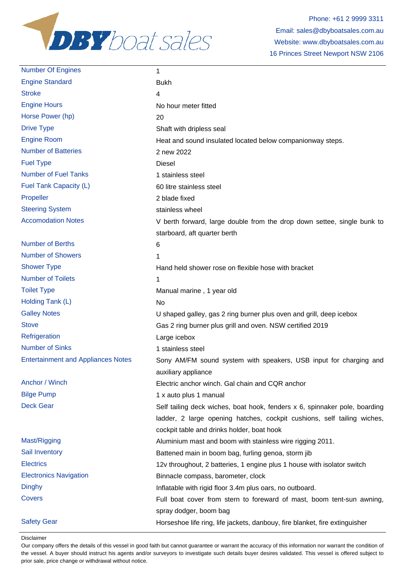

| <b>Number Of Engines</b>                  | 1                                                                           |
|-------------------------------------------|-----------------------------------------------------------------------------|
| <b>Engine Standard</b>                    | <b>Bukh</b>                                                                 |
| <b>Stroke</b>                             | 4                                                                           |
| <b>Engine Hours</b>                       | No hour meter fitted                                                        |
| Horse Power (hp)                          | 20                                                                          |
| <b>Drive Type</b>                         | Shaft with dripless seal                                                    |
| <b>Engine Room</b>                        | Heat and sound insulated located below companionway steps.                  |
| <b>Number of Batteries</b>                | 2 new 2022                                                                  |
| <b>Fuel Type</b>                          | <b>Diesel</b>                                                               |
| <b>Number of Fuel Tanks</b>               | 1 stainless steel                                                           |
| Fuel Tank Capacity (L)                    | 60 litre stainless steel                                                    |
| Propeller                                 | 2 blade fixed                                                               |
| <b>Steering System</b>                    | stainless wheel                                                             |
| <b>Accomodation Notes</b>                 | V berth forward, large double from the drop down settee, single bunk to     |
|                                           | starboard, aft quarter berth                                                |
| <b>Number of Berths</b>                   | 6                                                                           |
| <b>Number of Showers</b>                  | 1                                                                           |
| <b>Shower Type</b>                        | Hand held shower rose on flexible hose with bracket                         |
| <b>Number of Toilets</b>                  | 1                                                                           |
| <b>Toilet Type</b>                        | Manual marine, 1 year old                                                   |
| Holding Tank (L)                          | No                                                                          |
| <b>Galley Notes</b>                       | U shaped galley, gas 2 ring burner plus oven and grill, deep icebox         |
| <b>Stove</b>                              | Gas 2 ring burner plus grill and oven. NSW certified 2019                   |
| Refrigeration                             | Large icebox                                                                |
| <b>Number of Sinks</b>                    | 1 stainless steel                                                           |
| <b>Entertainment and Appliances Notes</b> | Sony AM/FM sound system with speakers, USB input for charging and           |
|                                           | auxiliary appliance                                                         |
| Anchor / Winch                            | Electric anchor winch. Gal chain and CQR anchor                             |
| <b>Bilge Pump</b>                         | 1 x auto plus 1 manual                                                      |
| <b>Deck Gear</b>                          | Self tailing deck wiches, boat hook, fenders x 6, spinnaker pole, boarding  |
|                                           | ladder, 2 large opening hatches, cockpit cushions, self tailing wiches,     |
|                                           | cockpit table and drinks holder, boat hook                                  |
| Mast/Rigging                              | Aluminium mast and boom with stainless wire rigging 2011.                   |
| Sail Inventory                            | Battened main in boom bag, furling genoa, storm jib                         |
| <b>Electrics</b>                          | 12v throughout, 2 batteries, 1 engine plus 1 house with isolator switch     |
| <b>Electronics Navigation</b>             | Binnacle compass, barometer, clock                                          |
| <b>Dinghy</b>                             | Inflatable with rigid floor 3.4m plus oars, no outboard.                    |
| <b>Covers</b>                             | Full boat cover from stern to foreward of mast, boom tent-sun awning,       |
|                                           | spray dodger, boom bag                                                      |
| <b>Safety Gear</b>                        | Horseshoe life ring, life jackets, danbouy, fire blanket, fire extinguisher |

Disclaimer

Our company offers the details of this vessel in good faith but cannot guarantee or warrant the accuracy of this information nor warrant the condition of the vessel. A buyer should instruct his agents and/or surveyors to investigate such details buyer desires validated. This vessel is offered subject to prior sale, price change or withdrawal without notice.